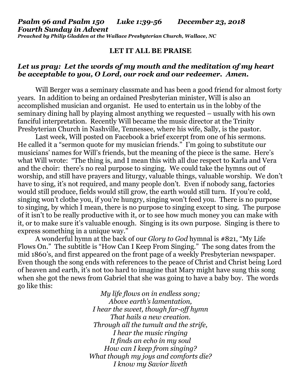### *Psalm 96 and Psalm 150 Luke 1:39-56 December 23, 2018 Fourth Sunday in Advent Preached by Philip Gladden at the Wallace Presbyterian Church, Wallace, NC*

### **LET IT ALL BE PRAISE**

# *Let us pray: Let the words of my mouth and the meditation of my heart be acceptable to you, O Lord, our rock and our redeemer. Amen.*

Will Berger was a seminary classmate and has been a good friend for almost forty years. In addition to being an ordained Presbyterian minister, Will is also an accomplished musician and organist. He used to entertain us in the lobby of the seminary dining hall by playing almost anything we requested – usually with his own fanciful interpretation. Recently Will became the music director at the Trinity Presbyterian Church in Nashville, Tennessee, where his wife, Sally, is the pastor.

Last week, Will posted on Facebook a brief excerpt from one of his sermons. He called it a "sermon quote for my musician friends." I'm going to substitute our musicians' names for Will's friends, but the meaning of the piece is the same. Here's what Will wrote: "The thing is, and I mean this with all due respect to Karla and Vera and the choir: there's no real purpose to singing. We could take the hymns out of worship, and still have prayers and liturgy, valuable things, valuable worship. We don't have to sing, it's not required, and many people don't. Even if nobody sang, factories would still produce, fields would still grow, the earth would still turn. If you're cold, singing won't clothe you, if you're hungry, singing won't feed you. There is no purpose to singing, by which I mean, there is no purpose to singing except to sing. The purpose of it isn't to be really productive with it, or to see how much money you can make with it, or to make sure it's valuable enough. Singing is its own purpose. Singing is there to express something in a unique way."

A wonderful hymn at the back of our *Glory to God* hymnal is #821, "My Life Flows On." The subtitle is "How Can I Keep From Singing." The song dates from the mid 1860's, and first appeared on the front page of a weekly Presbyterian newspaper. Even though the song ends with references to the peace of Christ and Christ being Lord of heaven and earth, it's not too hard to imagine that Mary might have sung this song when she got the news from Gabriel that she was going to have a baby boy. The words go like this:

> *My life flows on in endless song; Above earth's lamentation, I hear the sweet, though far-off hymn That hails a new creation. Through all the tumult and the strife, I hear the music ringing It finds an echo in my soul How can I keep from singing? What though my joys and comforts die? I know my Savior liveth*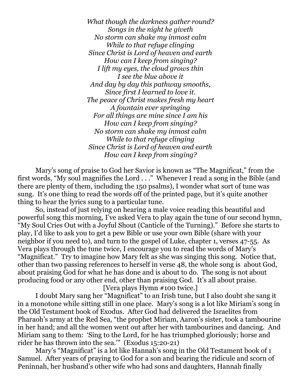*What though the darkness gather round? Songs in the night he giveth No storm can shake my inmost calm While to that refuge clinging Since Christ is Lord of heaven and earth How can I keep from singing? I lift my eyes, the cloud grows thin I see the blue above it And day by day this pathway smooths, Since first I learned to love it. The peace of Christ makes fresh my heart A fountain ever springing For all things are mine since I am his How can I keep from singing? No storm can shake my inmost calm While to that refuge clinging Since Christ is Lord of heaven and earth How can I keep from singing?*

Mary's song of praise to God her Savior is known as "The Magnificat," from the first words, "My soul magnifies the Lord . . ." Whenever I read a song in the Bible (and there are plenty of them, including the 150 psalms), I wonder what sort of tune was sung. It's one thing to read the words off of the printed page, but it's quite another thing to hear the lyrics sung to a particular tune.

So, instead of just relying on hearing a male voice reading this beautiful and powerful song this morning, I've asked Vera to play again the tune of our second hymn, "My Soul Cries Out with a Joyful Shout (Canticle of the Turning)." Before she starts to play, I'd like to ask you to get a pew Bible or use your own Bible (share with your neighbor if you need to), and turn to the gospel of Luke, chapter 1, verses 47-55. As Vera plays through the tune twice, I encourage you to read the words of Mary's "Magnificat." Try to imagine how Mary felt as she was singing this song. Notice that, other than two passing references to herself in verse 48, the whole song is about God, about praising God for what he has done and is about to do. The song is not about producing food or any other end, other than praising God. It's all about praise.

[Vera plays Hymn #100 twice.]

I doubt Mary sang her "Magnificat" to an Irish tune, but I also doubt she sang it in a monotone while sitting still in one place. Mary's song is a lot like Miriam's song in the Old Testament book of Exodus. After God had delivered the Israelites from Pharaoh's army at the Red Sea, "the prophet Miriam, Aaron's sister, took a tambourine in her hand; and all the women went out after her with tambourines and dancing. And Miriam sang to them: 'Sing to the Lord, for he has triumphed gloriously; horse and rider he has thrown into the sea.'" (Exodus 15:20-21)

Mary's "Magnificat" is a lot like Hannah's song in the Old Testament book of 1 Samuel. After years of praying to God for a son and bearing the ridicule and scorn of Peninnah, her husband's other wife who had sons and daughters, Hannah finally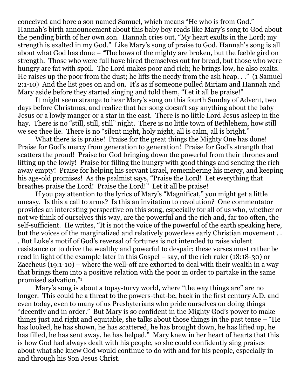conceived and bore a son named Samuel, which means "He who is from God." Hannah's birth announcement about this baby boy reads like Mary's song to God about the pending birth of her own son. Hannah cries out, "My heart exults in the Lord; my strength is exalted in my God." Like Mary's song of praise to God, Hannah's song is all about what God has done – "The bows of the mighty are broken, but the feeble gird on strength. Those who were full have hired themselves out for bread, but those who were hungry are fat with spoil. The Lord makes poor and rich; he brings low, he also exalts. He raises up the poor from the dust; he lifts the needy from the ash heap. . ." (1 Samuel 2:1-10) And the list goes on and on. It's as if someone pulled Miriam and Hannah and Mary aside before they started singing and told them, "Let it all be praise!"

It might seem strange to hear Mary's song on this fourth Sunday of Advent, two days before Christmas, and realize that her song doesn't say anything about the baby Jesus or a lowly manger or a star in the east. There is no little Lord Jesus asleep in the hay. There is no "still, still, still" night. There is no little town of Bethlehem, how still we see thee lie. There is no "silent night, holy night, all is calm, all is bright."

What there is is praise! Praise for the great things the Mighty One has done! Praise for God's mercy from generation to generation! Praise for God's strength that scatters the proud! Praise for God bringing down the powerful from their thrones and lifting up the lowly! Praise for filling the hungry with good things and sending the rich away empty! Praise for helping his servant Israel, remembering his mercy, and keeping his age-old promises! As the psalmist says, "Praise the Lord! Let everything that breathes praise the Lord! Praise the Lord!" Let it all be praise!

If you pay attention to the lyrics of Mary's "Magnificat," you might get a little uneasy. Is this a call to arms? Is this an invitation to revolution? One commentator provides an interesting perspective on this song, especially for all of us who, whether or not we think of ourselves this way, are the powerful and the rich and, far too often, the self-sufficient. He writes, "It is not the voice of the powerful of the earth speaking here, but the voices of the marginalized and relatively powerless early Christian movement . . . But Luke's motif of God's reversal of fortunes is not intended to raise violent resistance or to drive the wealthy and powerful to despair; these verses must rather be read in light of the example later in this Gospel – say, of the rich ruler (18:18-30) or Zaccheus (19:1-10) – where the well-off are exhorted to deal with their wealth in a way that brings them into a positive relation with the poor in order to partake in the same promised salvation."<sup>1</sup>

Mary's song is about a topsy-turvy world, where "the way things are" are no longer. This could be a threat to the powers-that-be, back in the first century A.D. and even today, even to many of us Presbyterians who pride ourselves on doing things "decently and in order." But Mary is so confident in the Mighty God's power to make things just and right and equitable, she talks about those things in the past tense – "He has looked, he has shown, he has scattered, he has brought down, he has lifted up, he has filled, he has sent away, he has helped." Mary knew in her heart of hearts that this is how God had always dealt with his people, so she could confidently sing praises about what she knew God would continue to do with and for his people, especially in and through his Son Jesus Christ.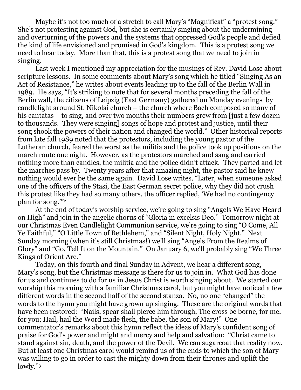Maybe it's not too much of a stretch to call Mary's "Magnificat" a "protest song." She's not protesting against God, but she is certainly singing about the undermining and overturning of the powers and the systems that oppressed God's people and defied the kind of life envisioned and promised in God's kingdom. This is a protest song we need to hear today. More than that, this is a protest song that we need to join in singing.

Last week I mentioned my appreciation for the musings of Rev. David Lose about scripture lessons. In some comments about Mary's song which he titled "Singing As an Act of Resistance," he writes about events leading up to the fall of the Berlin Wall in 1989. He says, "It's striking to note that for several months preceding the fall of the Berlin wall, the citizens of Leipzig (East Germany) gathered on Monday evenings by candlelight around St. Nikolai church – the church where Bach composed so many of his cantatas – to sing, and over two months their numbers grew from fjust a few dozen to thousands. They were singing] songs of hope and protest and justice, until their song shook the powers of their nation and changed the world." Other historical reports from late fall 1989 noted that the protestors, including the young pastor of the Lutheran church, feared the worst as the militia and the police took up positions on the march route one night. However, as the protestors marched and sang and carried nothing more than candles, the militia and the police didn't attack. They parted and let the marches pass by. Twenty years after that amazing night, the pastor said he knew nothing would ever be the same again. David Lose writes, "Later, when someone asked one of the officers of the Stasi, the East German secret police, why they did not crush this protest like they had so many others, the officer replied, 'We had no contingency plan for song.'"<sup>2</sup>

At the end of today's worship service, we're going to sing "Angels We Have Heard on High" and join in the angelic chorus of "Gloria in excelsis Deo." Tomorrow night at our Christmas Even Candlelight Communion service, we're going to sing "O Come, All Ye Faithful," "O Little Town of Bethlehem," and "Silent Night, Holy Night." Next Sunday morning (when it's still Christmas!) we'll sing "Angels From the Realms of Glory" and "Go, Tell It on the Mountain." On January 6, we'll probably sing "We Three Kings of Orient Are."

Today, on this fourth and final Sunday in Advent, we hear a different song, Mary's song, but the Christmas message is there for us to join in. What God has done for us and continues to do for us in Jesus Christ is worth singing about. We started our worship this morning with a familiar Christmas carol, but you might have noticed a few different words in the second half of the second stanza. No, no one "changed" the words to the hymn you might have grown up singing. These are the original words that have been restored: "Nails, spear shall pierce him through, The cross be borne, for me, for you; Hail, hail the Word made flesh, the babe, the son of Mary!" One commentator's remarks about this hymn reflect the ideas of Mary's confident song of praise for God's power and might and mercy and help and salvation: "Christ came to stand against sin, death, and the power of the Devil. We can sugarcoat that reality now. But at least one Christmas carol would remind us of the ends to which the son of Mary was willing to go in order to cast the mighty down from their thrones and uplift the lowly."3